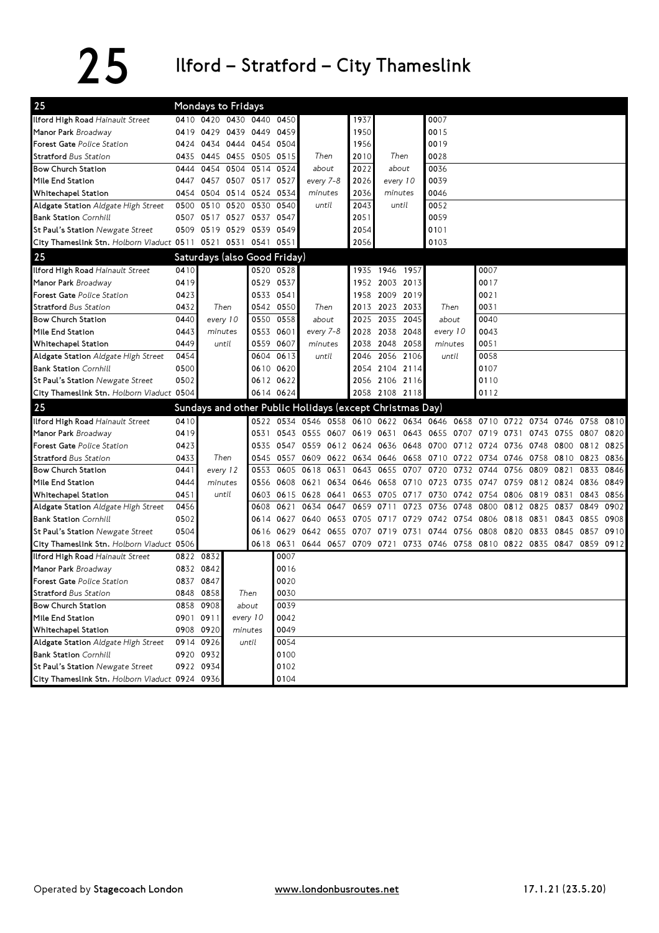## 25 Ilford – Stratford – City Thameslink

| 25                                                       | Mondays to Fridays |                                                          |                              |           |           |                                       |      |                                              |                |                     |                     |      |                                                                            |      |                |      |      |      |
|----------------------------------------------------------|--------------------|----------------------------------------------------------|------------------------------|-----------|-----------|---------------------------------------|------|----------------------------------------------|----------------|---------------------|---------------------|------|----------------------------------------------------------------------------|------|----------------|------|------|------|
| Ilford High Road Hainault Street                         |                    | 0410 0420 0430 0440 0450                                 |                              |           |           |                                       |      | 1937                                         |                |                     | 0007                |      |                                                                            |      |                |      |      |      |
| Manor Park Broadway                                      | 0419               | 0429 0439 0449                                           |                              | 0459      |           |                                       | 1950 |                                              |                | 0015                |                     |      |                                                                            |      |                |      |      |      |
| Forest Gate Police Station                               |                    |                                                          | 0424 0434 0444 0454          |           | 0504      | Then                                  |      | 1956                                         | Then           |                     | 0019                |      |                                                                            |      |                |      |      |      |
| <b>Stratford Bus Station</b>                             | 0435               |                                                          | 0445 0455 0505               |           | 0515      |                                       |      | 2010                                         |                |                     | 0028                |      |                                                                            |      |                |      |      |      |
| <b>Bow Church Station</b>                                |                    | 0444 0454 0504 0514 0524                                 |                              |           | about     |                                       | 2022 | about                                        |                | 0036                |                     |      |                                                                            |      |                |      |      |      |
| Mile End Station                                         |                    | 0447 0457 0507 0517 0527                                 |                              |           |           | every 7-8                             |      | 2026                                         |                | every 10            | 0039                |      |                                                                            |      |                |      |      |      |
| Whitechapel Station                                      |                    | 0454 0504 0514 0524                                      |                              |           | 0534      | minutes                               |      | 2036                                         | minutes        |                     | 0046                |      |                                                                            |      |                |      |      |      |
| Aldgate Station Aldgate High Street                      |                    | 0500 0510 0520                                           |                              | 0530      | 0540      | until                                 |      | 2043                                         | until          |                     | 0052                |      |                                                                            |      |                |      |      |      |
| <b>Bank Station Cornhill</b>                             |                    | 0507 0517 0527 0537 0547                                 |                              |           |           |                                       |      | 2051                                         |                |                     | 0059                |      |                                                                            |      |                |      |      |      |
| St Paul's Station Newgate Street                         |                    | 0509 0519 0529 0539                                      |                              |           | 0549      |                                       |      | 2054                                         |                |                     | 0101                |      |                                                                            |      |                |      |      |      |
| City Thameslink Stn. Holborn Viaduct 0511 0521 0531 0541 |                    |                                                          |                              |           | 0551      |                                       |      | 2056                                         |                |                     | 0103                |      |                                                                            |      |                |      |      |      |
| 25                                                       |                    | Saturdays (also Good Friday)                             |                              |           |           |                                       |      |                                              |                |                     |                     |      |                                                                            |      |                |      |      |      |
| Ilford High Road Hainault Street                         | 0410               |                                                          |                              | 0520 0528 |           |                                       |      |                                              | 1935 1946 1957 |                     |                     |      | 0007                                                                       |      |                |      |      |      |
| Manor Park Broadway                                      | 0419               |                                                          |                              | 0529      | 0537      |                                       |      |                                              | 1952 2003 2013 |                     |                     |      | 0017                                                                       |      |                |      |      |      |
| Forest Gate Police Station                               | 0423               |                                                          |                              | 0533      | 0541      |                                       |      |                                              | 1958 2009 2019 |                     |                     |      | 0021                                                                       |      |                |      |      |      |
| <b>Stratford Bus Station</b>                             | 0432               | Then<br>every 10<br>minutes<br>until                     |                              |           | 0542 0550 | Then<br>about<br>every 7-8<br>minutes |      |                                              | 2013 2023      | 2033                | Then                |      | 0031                                                                       |      |                |      |      |      |
| <b>Bow Church Station</b>                                | 0440               |                                                          |                              | 0550      | 0558      |                                       |      | 2025                                         | 2035           | 2045                | about               |      | 0040                                                                       |      |                |      |      |      |
| Mile End Station                                         | 0443               |                                                          |                              | 0553      | 0601      |                                       |      |                                              | 2028 2038 2048 |                     | every 10<br>minutes |      | 0043                                                                       |      |                |      |      |      |
| Whitechapel Station                                      | 0449               |                                                          |                              | 0559      | 0607      |                                       |      |                                              | 2038 2048 2058 |                     |                     |      | 0051                                                                       |      |                |      |      |      |
| Aldgate Station Aldgate High Street                      | 0454               |                                                          |                              | 0604      | 0613      | until                                 |      | 2046                                         | 2056 2106      |                     | until               |      | 0058                                                                       |      |                |      |      |      |
| <b>Bank Station Cornhill</b>                             | 0500               |                                                          |                              |           | 0610 0620 |                                       |      |                                              | 2054 2104 2114 |                     |                     |      | 0107                                                                       |      |                |      |      |      |
| St Paul's Station Newgate Street                         | 0502               |                                                          |                              |           | 0612 0622 |                                       |      |                                              | 2056 2106 2116 |                     |                     |      | 0110                                                                       |      |                |      |      |      |
| City Thameslink Stn. Holborn Viaduct 0504                |                    |                                                          |                              | 0614 0624 |           |                                       |      |                                              | 2058 2108 2118 |                     |                     |      | 0112                                                                       |      |                |      |      |      |
| 25                                                       |                    | Sundays and other Public Holidays (except Christmas Day) |                              |           |           |                                       |      |                                              |                |                     |                     |      |                                                                            |      |                |      |      |      |
| Ilford High Road Hainault Street                         | 0410               |                                                          |                              |           |           |                                       |      |                                              |                |                     |                     |      | 0522 0534 0546 0558 0610 0622 0634 0646 0658 0710 0722 0734 0746           |      |                |      | 0758 | 0810 |
| Manor Park Broadway                                      | 0419               |                                                          |                              | 0531      |           |                                       |      | 0543 0555 0607 0619 0631 0643 0655 0707 0719 |                |                     |                     |      |                                                                            | 0731 | 0743 0755 0807 |      |      | 0820 |
| Forest Gate Police Station                               | 0423               |                                                          |                              | 0535      |           |                                       |      | 0547 0559 0612 0624 0636 0648 0700 0712 0724 |                |                     |                     |      |                                                                            |      | 0736 0748 0800 |      | 0812 | 0825 |
| <b>Stratford Bus Station</b>                             | 0433               | Then<br>every 12<br>minutes                              |                              | 0545      |           |                                       |      |                                              |                |                     |                     |      | 0557 0609 0622 0634 0646 0658 0710 0722 0734 0746 0758 0810                |      |                |      | 0823 | 0836 |
| <b>Bow Church Station</b>                                | 0441               |                                                          |                              | 0553      |           | 0605 0618 0631                        |      |                                              |                | 0643 0655 0707 0720 |                     |      | 0732 0744                                                                  | 0756 | 0809           | 0821 | 0833 | 0846 |
| Mile End Station                                         | 0444               |                                                          |                              | 0556      | 0608      | 0621                                  | 0634 |                                              |                | 0646 0658 0710 0723 |                     |      | 0735 0747 0759                                                             |      | 0812 0824      |      | 0836 | 0849 |
| Whitechapel Station                                      | 0451               | until                                                    |                              | 0603      |           |                                       |      |                                              |                |                     |                     |      | 0615 0628 0641 0653 0705 0717 0730 0742 0754 0806 0819 0831                |      |                |      | 0843 | 0856 |
| Aldgate Station Aldgate High Street                      | 0456               |                                                          |                              | 0608      | 0621      | 0634                                  | 0647 | 0659 0711                                    |                | 0723                | 0736                | 0748 | 0800                                                                       | 0812 | 0825 0837      |      | 0849 | 0902 |
| <b>Bank Station Cornhill</b>                             | 0502               |                                                          |                              | 0614      |           | 0627 0640 0653                        |      |                                              | 0705 0717 0729 |                     | 0742 0754 0806      |      |                                                                            | 0818 | 0831 0843      |      | 0855 | 0908 |
| St Paul's Station Newgate Street                         | 0504               |                                                          |                              |           | 0616 0629 | 0642 0655                             |      |                                              |                |                     |                     |      | 0707 0719 0731 0744 0756 0808 0820                                         |      | 0833 0845      |      | 0857 | 0910 |
| City Thameslink Stn. Holborn Viaduct 0506                |                    |                                                          |                              |           |           |                                       |      |                                              |                |                     |                     |      | 0618 0631 0644 0657 0709 0721 0733 0746 0758 0810 0822 0835 0847 0859 0912 |      |                |      |      |      |
| Ilford High Road Hainault Street                         |                    | 0822 0832                                                |                              |           | 0007      |                                       |      |                                              |                |                     |                     |      |                                                                            |      |                |      |      |      |
| Manor Park Broadway                                      |                    | 0832 0842                                                |                              |           | 0016      |                                       |      |                                              |                |                     |                     |      |                                                                            |      |                |      |      |      |
| <b>Forest Gate Police Station</b>                        |                    | 0837 0847                                                |                              |           | 0020      |                                       |      |                                              |                |                     |                     |      |                                                                            |      |                |      |      |      |
| Stratford Bus Station                                    |                    | 0848 0858                                                | Then                         |           | 0030      |                                       |      |                                              |                |                     |                     |      |                                                                            |      |                |      |      |      |
| <b>Bow Church Station</b>                                |                    | 0858 0908                                                | about<br>every 10<br>minutes |           | 0039      |                                       |      |                                              |                |                     |                     |      |                                                                            |      |                |      |      |      |
| Mile End Station                                         | 0901 0911          |                                                          |                              |           | 0042      |                                       |      |                                              |                |                     |                     |      |                                                                            |      |                |      |      |      |
| Whitechapel Station                                      |                    | 0908 0920                                                |                              |           | 0049      |                                       |      |                                              |                |                     |                     |      |                                                                            |      |                |      |      |      |
| Aldgate Station Aldgate High Street                      |                    | 0914 0926                                                |                              | until     | 0054      |                                       |      |                                              |                |                     |                     |      |                                                                            |      |                |      |      |      |
| <b>Bank Station Cornhill</b>                             |                    | 0920 0932                                                |                              |           | 0100      |                                       |      |                                              |                |                     |                     |      |                                                                            |      |                |      |      |      |
| St Paul's Station Newgate Street                         |                    | 0922 0934                                                |                              |           | 0102      |                                       |      |                                              |                |                     |                     |      |                                                                            |      |                |      |      |      |
| City Thameslink Stn. Holborn Viaduct 0924 0936           |                    |                                                          |                              |           | 0104      |                                       |      |                                              |                |                     |                     |      |                                                                            |      |                |      |      |      |